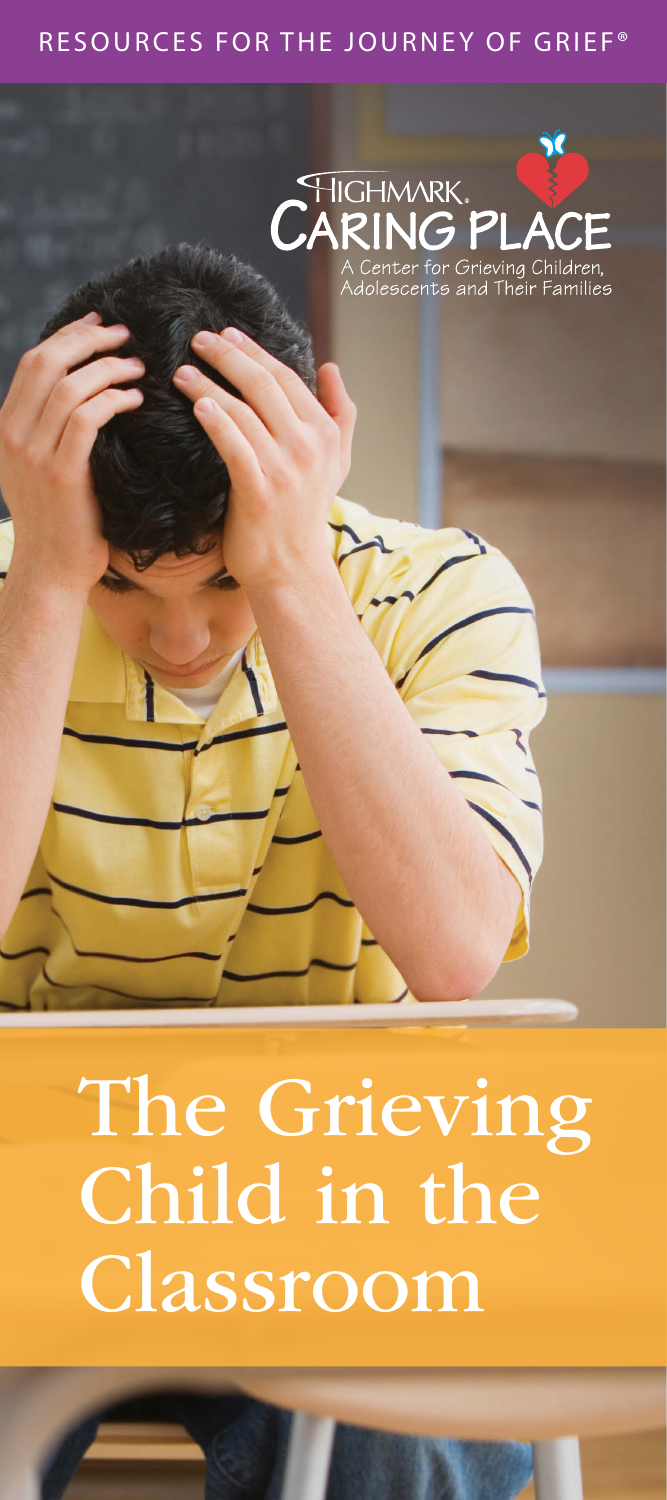### RESOURCES FOR THE JOURNEY OF GRIEF®



# The Grieving Child in the Classroom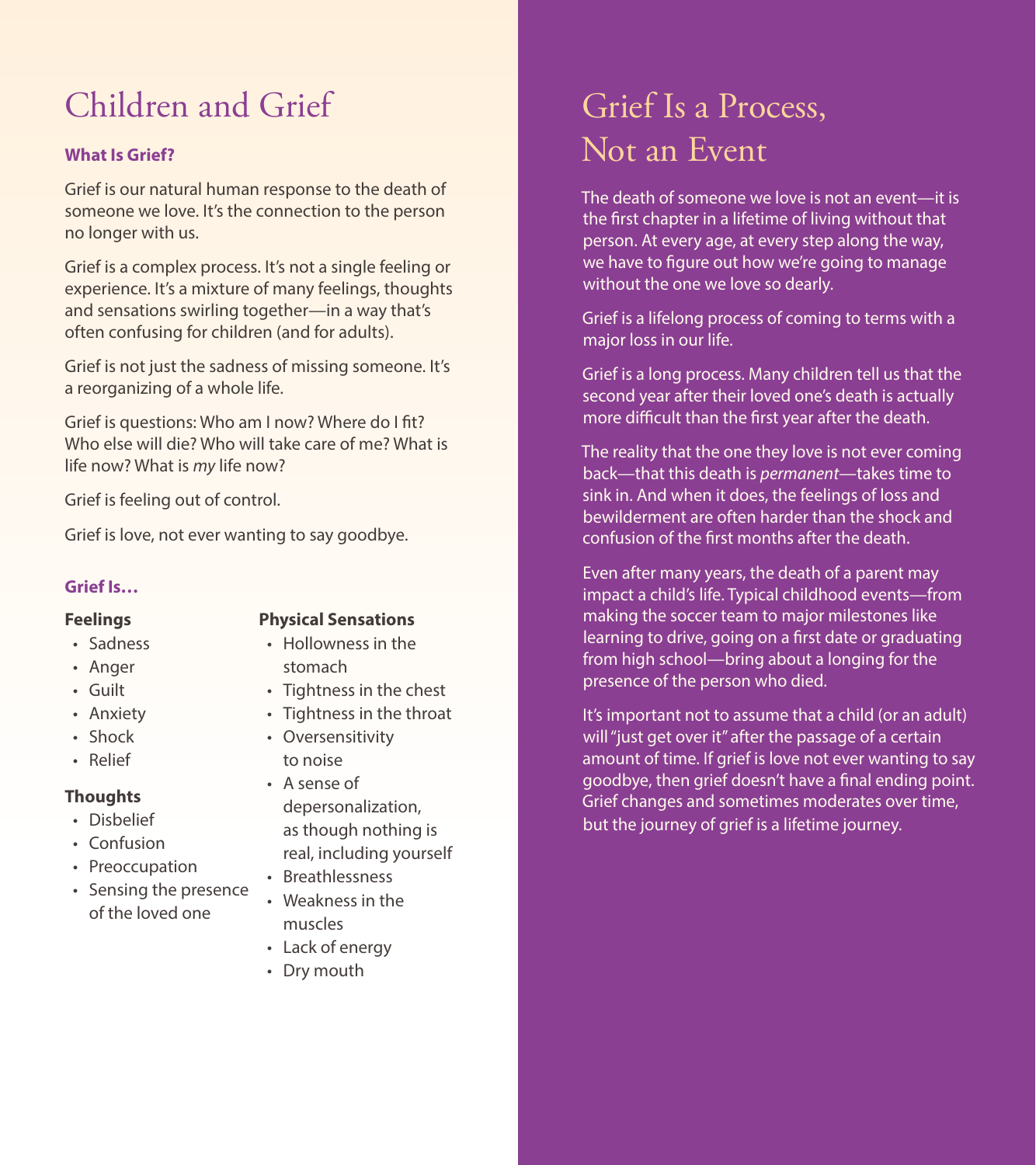# Children and Grief

#### **What Is Grief?**

Grief is our natural human response to the death of someone we love. It's the connection to the person no longer with us.

Grief is a complex process. It's not a single feeling or experience. It's a mixture of many feelings, thoughts and sensations swirling together—in a way that's often confusing for children (and for adults).

Grief is not just the sadness of missing someone. It's a reorganizing of a whole life.

Grief is questions: Who am I now? Where do I fit? Who else will die? Who will take care of me? What is life now? What is *my* life now?

Grief is feeling out of control.

Grief is love, not ever wanting to say goodbye.

#### **Grief Is…**

#### **Feelings**

#### • Sadness

- Anger
- Guilt
- Anxiety
- Shock
- Relief

#### **Thoughts**

- Disbelief
- Confusion
- Preoccupation
- Sensing the presence of the loved one

#### **Physical Sensations**

- Hollowness in the stomach
- Tightness in the chest
- Tightness in the throat
- Oversensitivity to noise
- A sense of depersonalization, as though nothing is real, including yourself
- Breathlessness
- Weakness in the muscles
- Lack of energy
- Dry mouth

### Grief Is a Process, Not an Event

The death of someone we love is not an event—it is the first chapter in a lifetime of living without that person. At every age, at every step along the way, we have to figure out how we're going to manage without the one we love so dearly.

Grief is a lifelong process of coming to terms with a major loss in our life.

Grief is a long process. Many children tell us that the second year after their loved one's death is actually more difficult than the first year after the death.

The reality that the one they love is not ever coming back—that this death is *permanent*—takes time to sink in. And when it does, the feelings of loss and bewilderment are often harder than the shock and confusion of the first months after the death.

Even after many years, the death of a parent may impact a child's life. Typical childhood events—from making the soccer team to major milestones like learning to drive, going on a first date or graduating from high school—bring about a longing for the presence of the person who died.

It's important not to assume that a child (or an adult) will "just get over it" after the passage of a certain amount of time. If grief is love not ever wanting to say goodbye, then grief doesn't have a final ending point. Grief changes and sometimes moderates over time, but the journey of grief is a lifetime journey.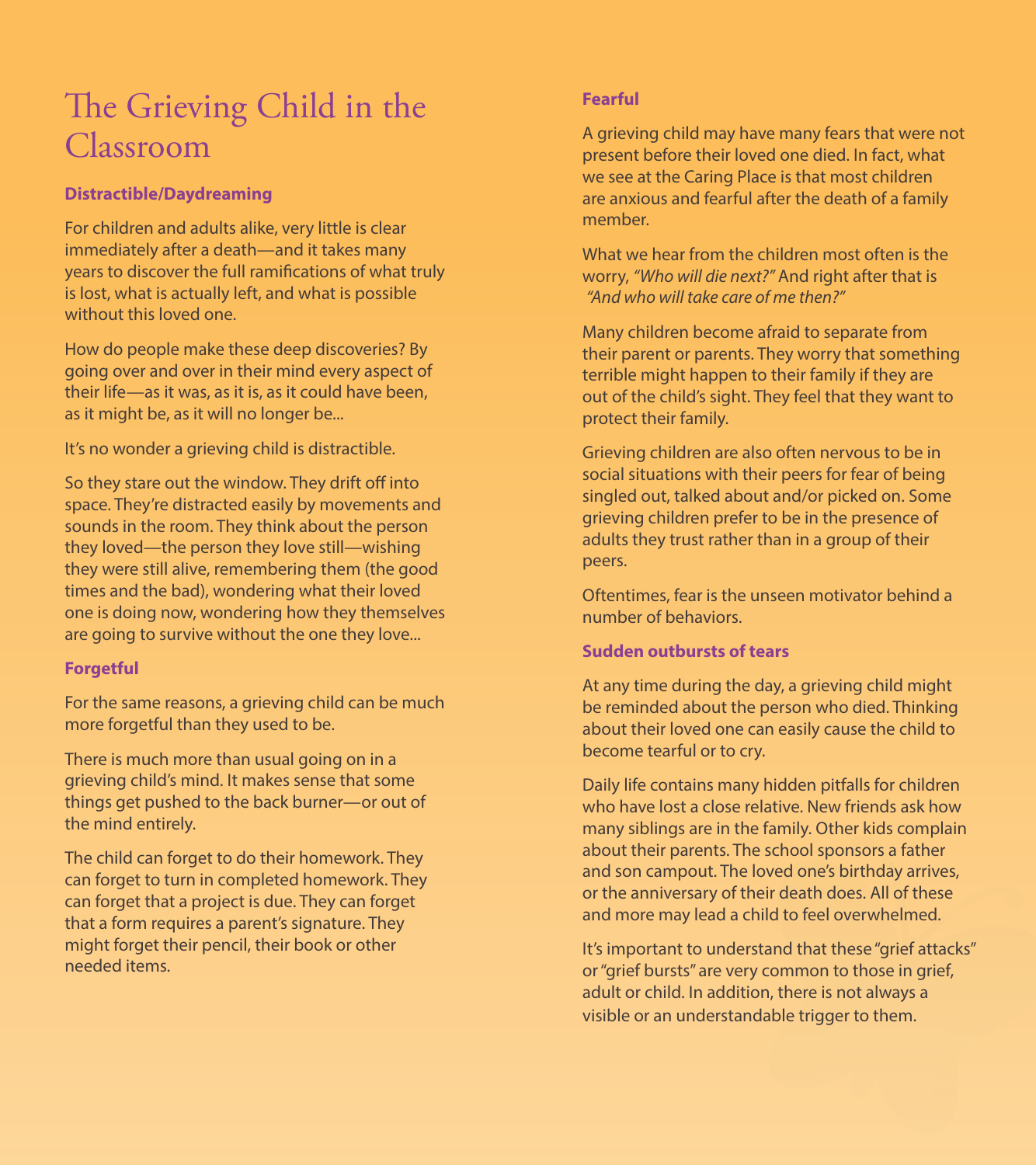### The Grieving Child in the Classroom

#### **Distractible/Daydreaming**

For children and adults alike, very little is clear immediately after a death—and it takes many years to discover the full ramifications of what truly is lost, what is actually left, and what is possible without this loved one.

How do people make these deep discoveries? By going over and over in their mind every aspect of their life—as it was, as it is, as it could have been, as it might be, as it will no longer be...

It's no wonder a grieving child is distractible.

So they stare out the window. They drift off into space. They're distracted easily by movements and sounds in the room. They think about the person they loved—the person they love still—wishing they were still alive, remembering them (the good times and the bad), wondering what their loved one is doing now, wondering how they themselves are going to survive without the one they love...

#### **Forgetful**

For the same reasons, a grieving child can be much more forgetful than they used to be.

There is much more than usual going on in a grieving child's mind. It makes sense that some things get pushed to the back burner—or out of the mind entirely.

The child can forget to do their homework. They can forget to turn in completed homework. They can forget that a project is due. They can forget that a form requires a parent's signature. They might forget their pencil, their book or other needed items.

#### **Fearful**

A grieving child may have many fears that were not present before their loved one died. In fact, what we see at the Caring Place is that most children are anxious and fearful after the death of a family member.

What we hear from the children most often is the worry, *"Who will die next?"* And right after that is *"And who will take care of me then?"*

Many children become afraid to separate from their parent or parents. They worry that something terrible might happen to their family if they are out of the child's sight. They feel that they want to protect their family.

Grieving children are also often nervous to be in social situations with their peers for fear of being singled out, talked about and/or picked on. Some grieving children prefer to be in the presence of adults they trust rather than in a group of their peers.

Oftentimes, fear is the unseen motivator behind a number of behaviors.

#### **Sudden outbursts of tears**

At any time during the day, a grieving child might be reminded about the person who died. Thinking about their loved one can easily cause the child to become tearful or to cry.

Daily life contains many hidden pitfalls for children who have lost a close relative. New friends ask how many siblings are in the family. Other kids complain about their parents. The school sponsors a father and son campout. The loved one's birthday arrives, or the anniversary of their death does. All of these and more may lead a child to feel overwhelmed.

It's important to understand that these "grief attacks" or "grief bursts" are very common to those in grief, adult or child. In addition, there is not always a visible or an understandable trigger to them.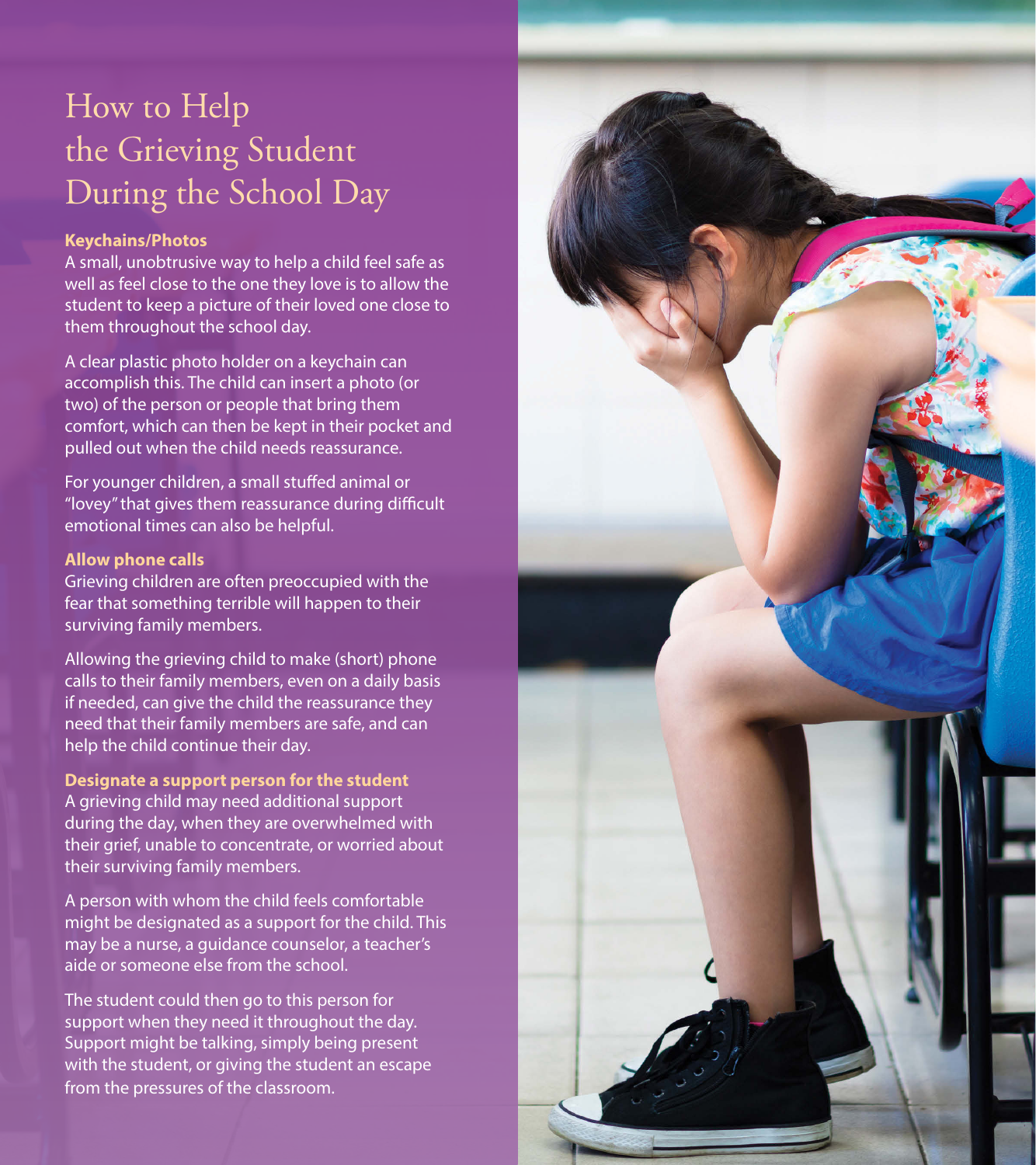## How to Help the Grieving Student During the School Day

#### **Keychains/Photos**

A small, unobtrusive way to help a child feel safe as well as feel close to the one they love is to allow the student to keep a picture of their loved one close to them throughout the school day.

A clear plastic photo holder on a keychain can accomplish this. The child can insert a photo (or two) of the person or people that bring them comfort, which can then be kept in their pocket and pulled out when the child needs reassurance.

For younger children, a small stuffed animal or "lovey" that gives them reassurance during difficult emotional times can also be helpful.

#### **Allow phone calls**

Grieving children are often preoccupied with the fear that something terrible will happen to their surviving family members.

Allowing the grieving child to make (short) phone calls to their family members, even on a daily basis if needed, can give the child the reassurance they need that their family members are safe, and can help the child continue their day.

**Designate a support person for the student** A grieving child may need additional support during the day, when they are overwhelmed with their grief, unable to concentrate, or worried about their surviving family members.

A person with whom the child feels comfortable might be designated as a support for the child. This may be a nurse, a guidance counselor, a teacher's aide or someone else from the school.

The student could then go to this person for support when they need it throughout the day. Support might be talking, simply being present with the student, or giving the student an escape from the pressures of the classroom.

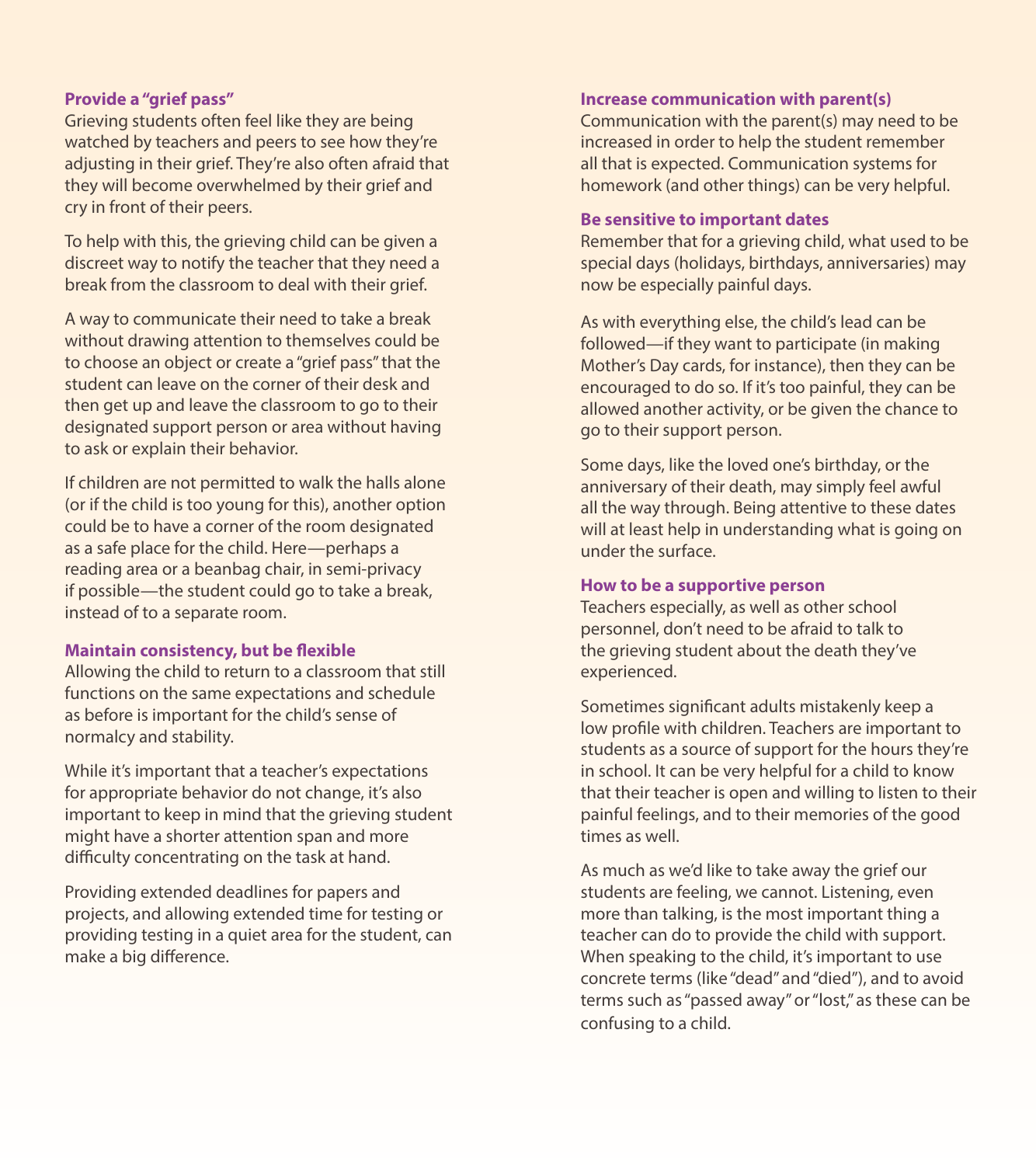#### **Provide a "grief pass"**

Grieving students often feel like they are being watched by teachers and peers to see how they're adjusting in their grief. They're also often afraid that they will become overwhelmed by their grief and cry in front of their peers.

To help with this, the grieving child can be given a discreet way to notify the teacher that they need a break from the classroom to deal with their grief.

A way to communicate their need to take a break without drawing attention to themselves could be to choose an object or create a "grief pass" that the student can leave on the corner of their desk and then get up and leave the classroom to go to their designated support person or area without having to ask or explain their behavior.

If children are not permitted to walk the halls alone (or if the child is too young for this), another option could be to have a corner of the room designated as a safe place for the child. Here—perhaps a reading area or a beanbag chair, in semi-privacy if possible—the student could go to take a break, instead of to a separate room.

#### **Maintain consistency, but be flexible**

Allowing the child to return to a classroom that still functions on the same expectations and schedule as before is important for the child's sense of normalcy and stability.

While it's important that a teacher's expectations for appropriate behavior do not change, it's also important to keep in mind that the grieving student might have a shorter attention span and more difficulty concentrating on the task at hand.

Providing extended deadlines for papers and projects, and allowing extended time for testing or providing testing in a quiet area for the student, can make a big difference.

#### **Increase communication with parent(s)**

Communication with the parent(s) may need to be increased in order to help the student remember all that is expected. Communication systems for homework (and other things) can be very helpful.

#### **Be sensitive to important dates**

Remember that for a grieving child, what used to be special days (holidays, birthdays, anniversaries) may now be especially painful days.

As with everything else, the child's lead can be followed—if they want to participate (in making Mother's Day cards, for instance), then they can be encouraged to do so. If it's too painful, they can be allowed another activity, or be given the chance to go to their support person.

Some days, like the loved one's birthday, or the anniversary of their death, may simply feel awful all the way through. Being attentive to these dates will at least help in understanding what is going on under the surface.

#### **How to be a supportive person**

Teachers especially, as well as other school personnel, don't need to be afraid to talk to the grieving student about the death they've experienced.

Sometimes significant adults mistakenly keep a low profile with children. Teachers are important to students as a source of support for the hours they're in school. It can be very helpful for a child to know that their teacher is open and willing to listen to their painful feelings, and to their memories of the good times as well.

As much as we'd like to take away the grief our students are feeling, we cannot. Listening, even more than talking, is the most important thing a teacher can do to provide the child with support. When speaking to the child, it's important to use concrete terms (like "dead" and "died"), and to avoid terms such as "passed away" or "lost," as these can be confusing to a child.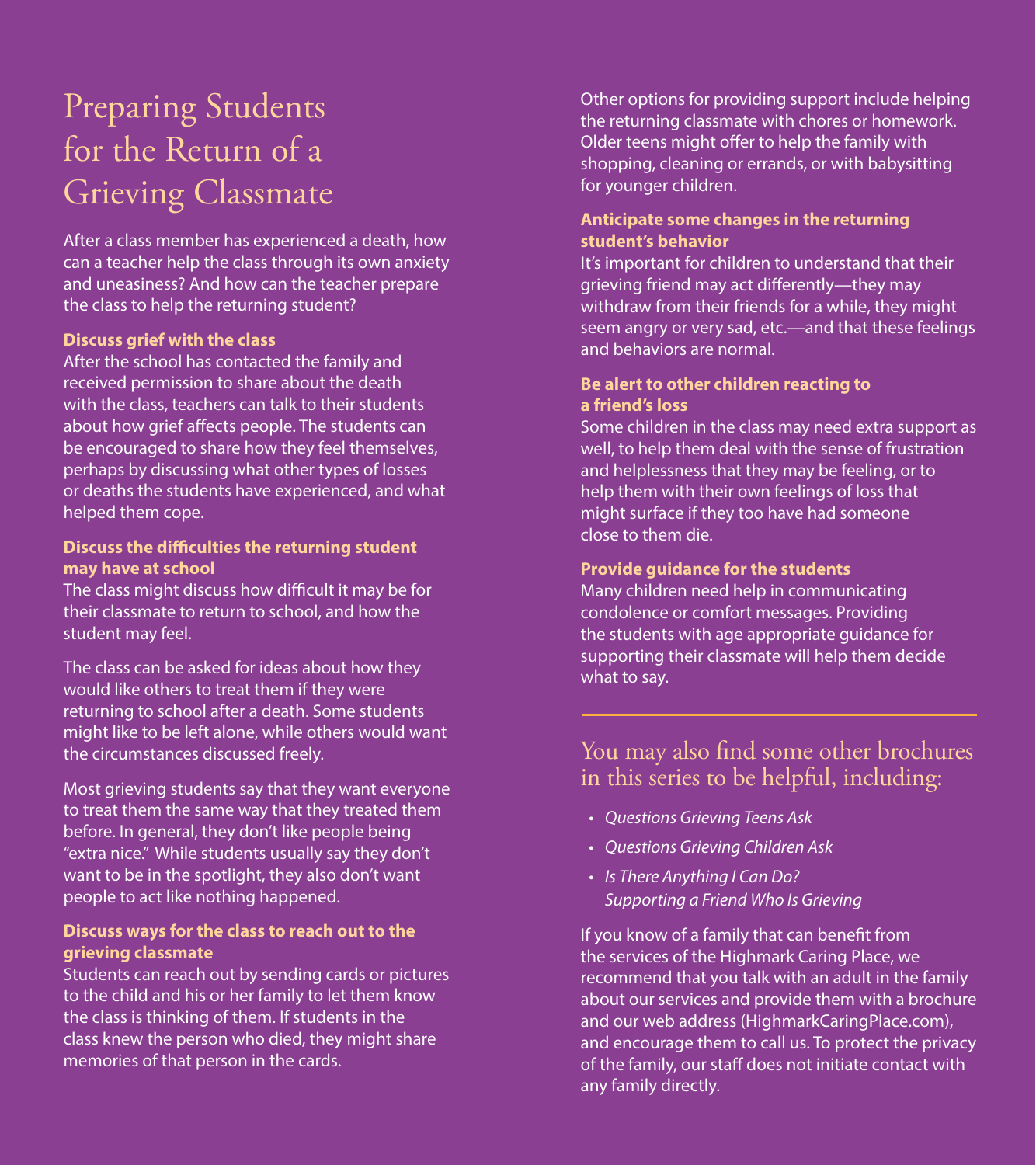# Preparing Students for the Return of a Grieving Classmate

After a class member has experienced a death, how can a teacher help the class through its own anxiety and uneasiness? And how can the teacher prepare the class to help the returning student?

#### **Discuss grief with the class**

After the school has contacted the family and received permission to share about the death with the class, teachers can talk to their students about how grief affects people. The students can be encouraged to share how they feel themselves, perhaps by discussing what other types of losses or deaths the students have experienced, and what helped them cope.

#### **Discuss the difficulties the returning student may have at school**

The class might discuss how difficult it may be for their classmate to return to school, and how the student may feel.

The class can be asked for ideas about how they would like others to treat them if they were returning to school after a death. Some students might like to be left alone, while others would want the circumstances discussed freely.

Most grieving students say that they want everyone to treat them the same way that they treated them before. In general, they don't like people being "extra nice." While students usually say they don't want to be in the spotlight, they also don't want people to act like nothing happened.

#### **Discuss ways for the class to reach out to the grieving classmate**

Students can reach out by sending cards or pictures to the child and his or her family to let them know the class is thinking of them. If students in the class knew the person who died, they might share memories of that person in the cards.

Other options for providing support include helping the returning classmate with chores or homework. Older teens might offer to help the family with shopping, cleaning or errands, or with babysitting for younger children.

#### **Anticipate some changes in the returning student's behavior**

It's important for children to understand that their grieving friend may act differently—they may withdraw from their friends for a while, they might seem angry or very sad, etc.—and that these feelings and behaviors are normal.

#### **Be alert to other children reacting to a friend's loss**

Some children in the class may need extra support as well, to help them deal with the sense of frustration and helplessness that they may be feeling, or to help them with their own feelings of loss that might surface if they too have had someone close to them die.

#### **Provide guidance for the students**

Many children need help in communicating condolence or comfort messages. Providing the students with age appropriate guidance for supporting their classmate will help them decide what to say.

### You may also find some other brochures in this series to be helpful, including:

- *• Questions Grieving Teens Ask*
- *• Questions Grieving Children Ask*
- *• Is There Anything I Can Do? Supporting a Friend Who Is Grieving*

If you know of a family that can benefit from the services of the Highmark Caring Place, we recommend that you talk with an adult in the family about our services and provide them with a brochure and our web address (HighmarkCaringPlace.com), and encourage them to call us. To protect the privacy of the family, our staff does not initiate contact with any family directly.